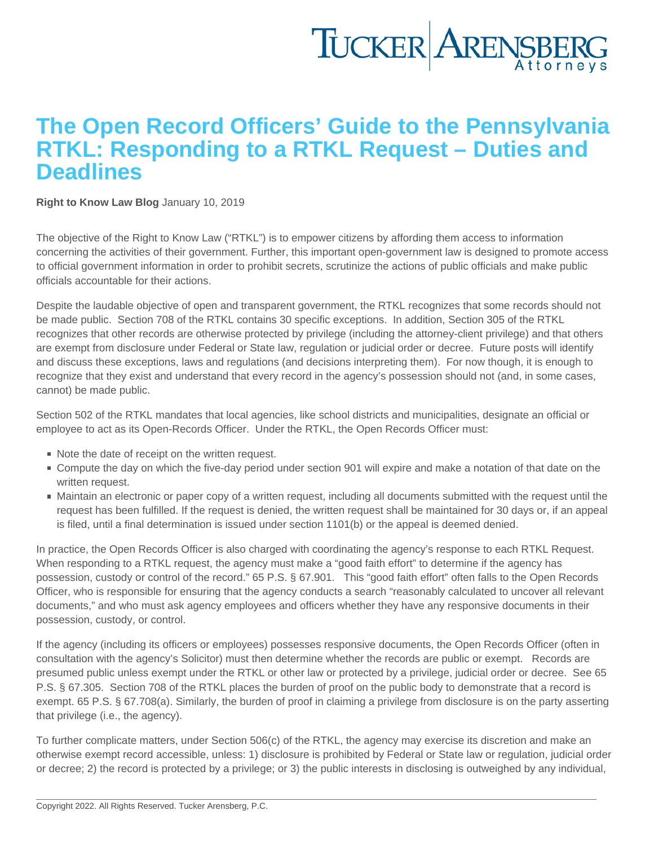## The Open Record Officers' Guide to the Pennsylvania RTKL: Responding to a RTKL Request – Duties and **Deadlines**

[Right to Know Law Blog](https://www.tuckerlaw.com/category/right-to-know-law-blog/) January 10, 2019

The objective of the Right to Know Law ("RTKL") is to empower citizens by affording them access to information concerning the activities of their government. Further, this important open-government law is designed to promote access to official government information in order to prohibit secrets, scrutinize the actions of public officials and make public officials accountable for their actions.

Despite the laudable objective of open and transparent government, the RTKL recognizes that some records should not be made public. Section 708 of the RTKL contains 30 specific exceptions. In addition, Section 305 of the RTKL recognizes that other records are otherwise protected by privilege (including the attorney-client privilege) and that others are exempt from disclosure under Federal or State law, regulation or judicial order or decree. Future posts will identify and discuss these exceptions, laws and regulations (and decisions interpreting them). For now though, it is enough to recognize that they exist and understand that every record in the agency's possession should not (and, in some cases, cannot) be made public.

Section 502 of the RTKL mandates that local agencies, like school districts and municipalities, designate an official or employee to act as its Open-Records Officer. Under the RTKL, the Open Records Officer must:

- Note the date of receipt on the written request.
- Compute the day on which the five-day period under section 901 will expire and make a notation of that date on the written request.
- Maintain an electronic or paper copy of a written request, including all documents submitted with the request until the request has been fulfilled. If the request is denied, the written request shall be maintained for 30 days or, if an appeal is filed, until a final determination is issued under section 1101(b) or the appeal is deemed denied.

In practice, the Open Records Officer is also charged with coordinating the agency's response to each RTKL Request. When responding to a RTKL request, the agency must make a "good faith effort" to determine if the agency has possession, custody or control of the record." 65 P.S. § 67.901. This "good faith effort" often falls to the Open Records Officer, who is responsible for ensuring that the agency conducts a search "reasonably calculated to uncover all relevant documents," and who must ask agency employees and officers whether they have any responsive documents in their possession, custody, or control.

If the agency (including its officers or employees) possesses responsive documents, the Open Records Officer (often in consultation with the agency's Solicitor) must then determine whether the records are public or exempt. Records are presumed public unless exempt under the RTKL or other law or protected by a privilege, judicial order or decree. See 65 P.S. § 67.305. Section 708 of the RTKL places the burden of proof on the public body to demonstrate that a record is exempt. 65 P.S. § 67.708(a). Similarly, the burden of proof in claiming a privilege from disclosure is on the party asserting that privilege (i.e., the agency).

To further complicate matters, under Section 506(c) of the RTKL, the agency may exercise its discretion and make an otherwise exempt record accessible, unless: 1) disclosure is prohibited by Federal or State law or regulation, judicial order or decree; 2) the record is protected by a privilege; or 3) the public interests in disclosing is outweighed by any individual,